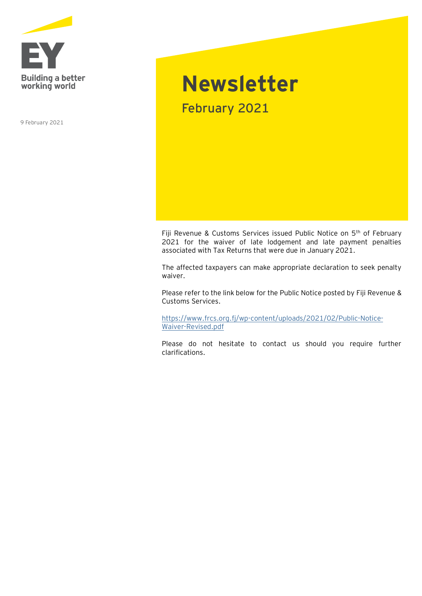

9 February 2021

## **Newsletter** February 2021

Fiji Revenue & Customs Services issued Public Notice on 5<sup>th</sup> of February 2021 for the waiver of late lodgement and late payment penalties associated with Tax Returns that were due in January 2021.

The affected taxpayers can make appropriate declaration to seek penalty waiver.

Please refer to the link below for the Public Notice posted by Fiji Revenue & Customs Services.

[https://www.frcs.org.fj/wp-content/uploads/2021/02/Public-Notice-](https://www.frcs.org.fj/wp-content/uploads/2021/02/Public-Notice-Waiver-Revised.pdf)[Waiver-Revised.pdf](https://www.frcs.org.fj/wp-content/uploads/2021/02/Public-Notice-Waiver-Revised.pdf)

Please do not hesitate to contact us should you require further clarifications.